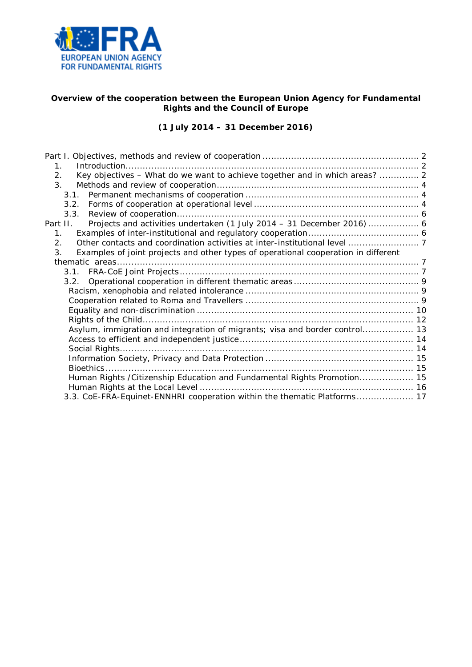

## **Overview of the cooperation between the European Union Agency for Fundamental Rights and the Council of Europe**

# *(1 July 2014 – 31 December 2016)*

| $\mathbf{1}$                                                                                         |  |
|------------------------------------------------------------------------------------------------------|--|
| Key objectives - What do we want to achieve together and in which areas?  2<br>2.                    |  |
| 3 <sub>1</sub>                                                                                       |  |
|                                                                                                      |  |
| 3.2.                                                                                                 |  |
| 3.3.                                                                                                 |  |
| Projects and activities undertaken (1 July 2014 - 31 December 2016)  6<br>Part II.                   |  |
| $1_{-}$                                                                                              |  |
| 2.                                                                                                   |  |
| $\mathbf{3}$ .<br>Examples of joint projects and other types of operational cooperation in different |  |
|                                                                                                      |  |
|                                                                                                      |  |
|                                                                                                      |  |
|                                                                                                      |  |
|                                                                                                      |  |
|                                                                                                      |  |
|                                                                                                      |  |
| Asylum, immigration and integration of migrants; visa and border control 13                          |  |
|                                                                                                      |  |
|                                                                                                      |  |
|                                                                                                      |  |
|                                                                                                      |  |
| Human Rights / Citizenship Education and Fundamental Rights Promotion 15                             |  |
|                                                                                                      |  |
| 3.3. CoE-FRA-Equinet-ENNHRI cooperation within the thematic Platforms 17                             |  |
|                                                                                                      |  |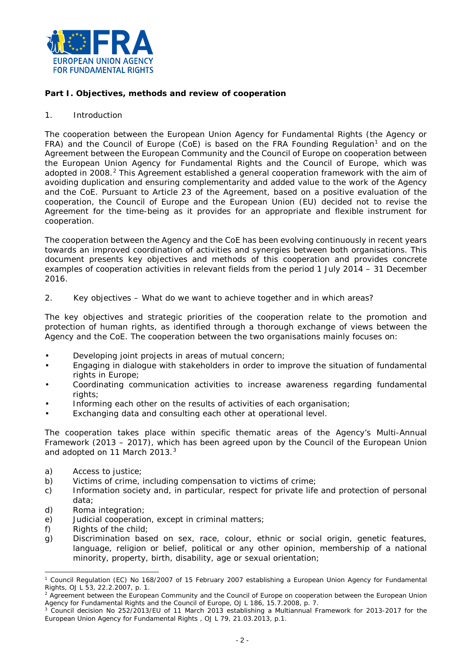

## <span id="page-1-0"></span>**Part I. Objectives, methods and review of cooperation**

### <span id="page-1-1"></span>1. Introduction

The cooperation between the European Union Agency for Fundamental Rights (the Agency or FRA) and the Council of Europe (CoE) is based on the FRA Founding Regulation<sup>[1](#page-1-3)</sup> and on the Agreement between the European Community and the Council of Europe on cooperation between the European Union Agency for Fundamental Rights and the Council of Europe, which was adopted in [2](#page-1-4)008.<sup>2</sup> This Agreement established a general cooperation framework with the aim of avoiding duplication and ensuring complementarity and added value to the work of the Agency and the CoE. Pursuant to Article 23 of the Agreement, based on a positive evaluation of the cooperation, the Council of Europe and the European Union (EU) decided not to revise the Agreement for the time-being as it provides for an appropriate and flexible instrument for cooperation.

The cooperation between the Agency and the CoE has been evolving continuously in recent years towards an improved coordination of activities and synergies between both organisations. This document presents key objectives and methods of this cooperation and provides concrete examples of cooperation activities in relevant fields from the period 1 July 2014 – 31 December 2016.

<span id="page-1-2"></span>2. Key objectives – What do we want to achieve together and in which areas?

The key objectives and strategic priorities of the cooperation relate to the promotion and protection of human rights, as identified through a thorough exchange of views between the Agency and the CoE. The cooperation between the two organisations mainly focuses on:

- Developing joint projects in areas of mutual concern;
- Engaging in dialogue with stakeholders in order to improve the situation of fundamental rights in Europe;
- Coordinating communication activities to increase awareness regarding fundamental rights;
- Informing each other on the results of activities of each organisation;
- Exchanging data and consulting each other at operational level.

The cooperation takes place within specific thematic areas of the Agency's Multi-Annual Framework (2013 – 2017), which has been agreed upon by the Council of the European Union and adopted on 11 March 201[3](#page-1-5).<sup>3</sup>

- a) Access to justice:
- b) Victims of crime, including compensation to victims of crime;
- c) Information society and, in particular, respect for private life and protection of personal data;
- d) Roma integration;
- e) Judicial cooperation, except in criminal matters;
- f) Rights of the child;
- g) Discrimination based on sex, race, colour, ethnic or social origin, genetic features, language, religion or belief, political or any other opinion, membership of a national minority, property, birth, disability, age or sexual orientation;

<span id="page-1-3"></span><sup>1</sup> Council Regulation (EC) No 168/2007 of 15 February 2007 establishing a European Union Agency for Fundamental Rights, OJ L 53, 22.2.2007, p. 1. -

<span id="page-1-4"></span><sup>&</sup>lt;sup>2</sup> Agreement between the European Community and the Council of Europe on cooperation between the European Union Agency for Fundamental Rights and the Council of Europe, OJ L 186, 15.7.2008, p. 7.

<span id="page-1-5"></span><sup>&</sup>lt;sup>3</sup> Council decision No 252/2013/EU of 11 March 2013 establishing a Multiannual Framework for 2013-2017 for the European Union Agency for Fundamental Rights , OJ L 79, 21.03.2013, p.1.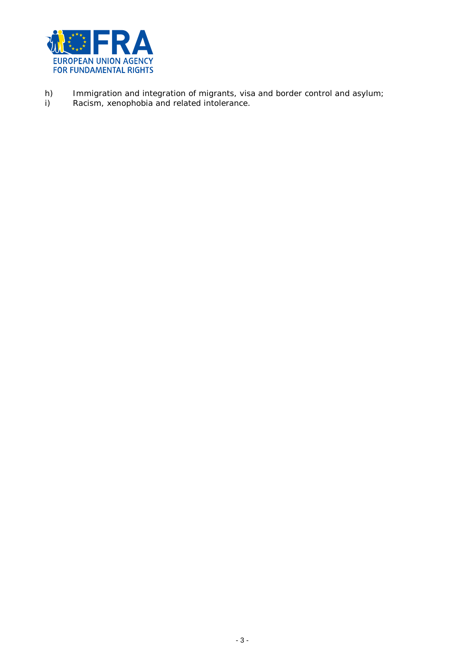

- h) Immigration and integration of migrants, visa and border control and asylum;
- i) Racism, xenophobia and related intolerance.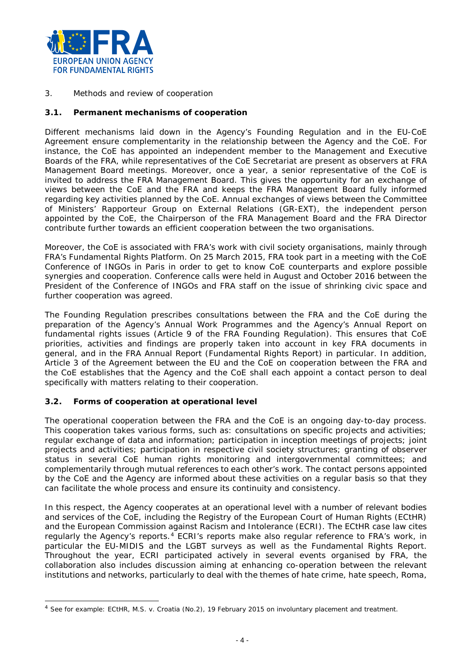

<span id="page-3-0"></span>3. Methods and review of cooperation

### <span id="page-3-1"></span>**3.1. Permanent mechanisms of cooperation**

Different mechanisms laid down in the Agency's Founding Regulation and in the EU-CoE Agreement ensure complementarity in the relationship between the Agency and the CoE. For instance, the CoE has appointed an independent member to the Management and Executive Boards of the FRA, while representatives of the CoE Secretariat are present as observers at FRA Management Board meetings. Moreover, once a year, a senior representative of the CoE is invited to address the FRA Management Board. This gives the opportunity for an exchange of views between the CoE and the FRA and keeps the FRA Management Board fully informed regarding key activities planned by the CoE. Annual exchanges of views between the Committee of Ministers' Rapporteur Group on External Relations (GR-EXT), the independent person appointed by the CoE, the Chairperson of the FRA Management Board and the FRA Director contribute further towards an efficient cooperation between the two organisations.

Moreover, the CoE is associated with FRA's work with civil society organisations, mainly through FRA's Fundamental Rights Platform. On 25 March 2015, FRA took part in a meeting with the CoE Conference of INGOs in Paris in order to get to know CoE counterparts and explore possible synergies and cooperation. Conference calls were held in August and October 2016 between the President of the Conference of INGOs and FRA staff on the issue of shrinking civic space and further cooperation was agreed.

The Founding Regulation prescribes consultations between the FRA and the CoE during the preparation of the Agency's Annual Work Programmes and the Agency's Annual Report on fundamental rights issues (Article 9 of the FRA Founding Regulation). This ensures that CoE priorities, activities and findings are properly taken into account in key FRA documents in general, and in the FRA Annual Report (*Fundamental Rights Report*) in particular. In addition, Article 3 of the Agreement between the EU and the CoE on cooperation between the FRA and the CoE establishes that the Agency and the CoE shall each appoint a contact person to deal specifically with matters relating to their cooperation.

## <span id="page-3-2"></span>**3.2. Forms of cooperation at operational level**

-

The operational cooperation between the FRA and the CoE is an ongoing day-to-day process. This cooperation takes various forms, such as: consultations on specific projects and activities; regular exchange of data and information; participation in inception meetings of projects; joint projects and activities; participation in respective civil society structures; granting of observer status in several CoE human rights monitoring and intergovernmental committees; and complementarily through mutual references to each other's work. The contact persons appointed by the CoE and the Agency are informed about these activities on a regular basis so that they can facilitate the whole process and ensure its continuity and consistency.

In this respect, the Agency cooperates at an operational level with a number of relevant bodies and services of the CoE, including the Registry of the European Court of Human Rights (ECtHR) and the European Commission against Racism and Intolerance (ECRI). The ECtHR case law cites regularly the Agency's reports.<sup>[4](#page-3-3)</sup> ECRI's reports make also regular reference to FRA's work, in particular the EU-MIDIS and the LGBT surveys as well as the *Fundamental Rights Report*. Throughout the year, ECRI participated actively in several events organised by FRA, the collaboration also includes discussion aiming at enhancing co-operation between the relevant institutions and networks, particularly to deal with the themes of hate crime, hate speech, Roma,

<span id="page-3-3"></span><sup>4</sup> See for example: ECtHR, *M.S. v. Croatia (No.2),* 19 February 2015 on involuntary placement and treatment.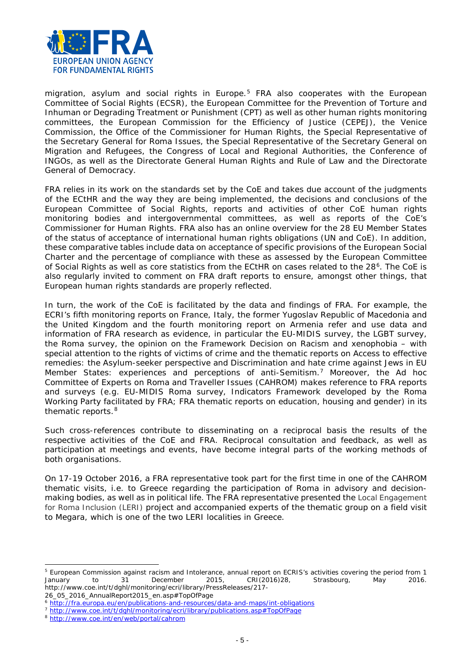<span id="page-4-3"></span>

migration, asylum and social rights in Europe.<sup>[5](#page-4-0)</sup> FRA also cooperates with the European Committee of Social Rights (ECSR), the European Committee for the Prevention of Torture and Inhuman or Degrading Treatment or Punishment (CPT) as well as other human rights monitoring committees, the European Commission for the Efficiency of Justice (CEPEJ), the Venice Commission, the Office of the Commissioner for Human Rights, the Special Representative of the Secretary General for Roma Issues, the Special Representative of the Secretary General on Migration and Refugees, the Congress of Local and Regional Authorities, the Conference of INGOs, as well as the Directorate General Human Rights and Rule of Law and the Directorate General of Democracy.

FRA relies in its work on the standards set by the CoE and takes due account of the judgments of the ECtHR and the way they are being implemented, the decisions and conclusions of the European Committee of Social Rights, reports and activities of other CoE human rights monitoring bodies and intergovernmental committees, as well as reports of the CoE's Commissioner for Human Rights. FRA also has an online overview for the 28 EU Member States of the status of acceptance of international human rights obligations (UN and CoE). In addition, these comparative tables include data on acceptance of specific provisions of the European Social Charter and the percentage of compliance with these as assessed by the European Committee of Social Rights as well as core statistics from the ECtHR on cases related to the 28<sup>[6](#page-4-1)</sup>. The CoE is also regularly invited to comment on FRA draft reports to ensure, amongst other things, that European human rights standards are properly reflected.

In turn, the work of the CoE is facilitated by the data and findings of FRA. For example, the ECRI's fifth monitoring reports on France, Italy, the former Yugoslav Republic of Macedonia and the United Kingdom and the fourth monitoring report on Armenia refer and use data and information of FRA research as evidence, in particular the EU-MIDIS survey, the LGBT survey, the Roma survey, the opinion on the Framework Decision on Racism and xenophobia – with special attention to the rights of victims of crime and the thematic reports on Access to effective remedies: the Asylum-seeker perspective and Discrimination and hate crime against Jews in EU Member States: experiences and perceptions of anti-Semitism.[7](#page-4-2) Moreover, the Ad hoc Committee of Experts on Roma and Traveller Issues (CAHROM) makes reference to FRA reports and surveys (e.g. EU-MIDIS Roma survey, Indicators Framework developed by the Roma Working Party facilitated by FRA; FRA thematic reports on education, housing and gender) in its thematic reports.<sup>[8](#page-4-3)</sup>

Such cross-references contribute to disseminating on a reciprocal basis the results of the respective activities of the CoE and FRA. Reciprocal consultation and feedback, as well as participation at meetings and events, have become integral parts of the working methods of both organisations.

On 17-19 October 2016, a FRA representative took part for the first time in one of the CAHROM thematic visits, i.e. to Greece regarding the participation of Roma in advisory and decisionmaking bodies, as well as in political life. The FRA representative presented the Local Engagement for Roma Inclusion (LERI) project and accompanied experts of the thematic group on a field visit to Megara, which is one of the two LERI localities in Greece.

-

<span id="page-4-0"></span><sup>&</sup>lt;sup>5</sup> European Commission against racism and Intolerance, annual report on ECRIS's activities covering the period from 1<br>January to 31 December 2015. CRI(2016)28, Strasbourg, May 2016. January to 31 December 2015, CRI(2016)28, Strasbourg, May 2016. http://www.coe.int/t/dghl/monitoring/ecri/library/PressReleases/217-

<sup>26</sup>\_05\_2016\_AnnualReport2015\_en.asp#TopOfPage

<span id="page-4-1"></span><sup>6</sup> <http://fra.europa.eu/en/publications-and-resources/data-and-maps/int-obligations>

<span id="page-4-2"></span><sup>7</sup> [http://www.coe.int/t/dghl/monitoring/ecri/library/publications.asp#TopOfPage](http://www.coe.int/t/dghl/monitoring/ecri/library/publications.asp%23TopOfPage)

<sup>8</sup> <http://www.coe.int/en/web/portal/cahrom>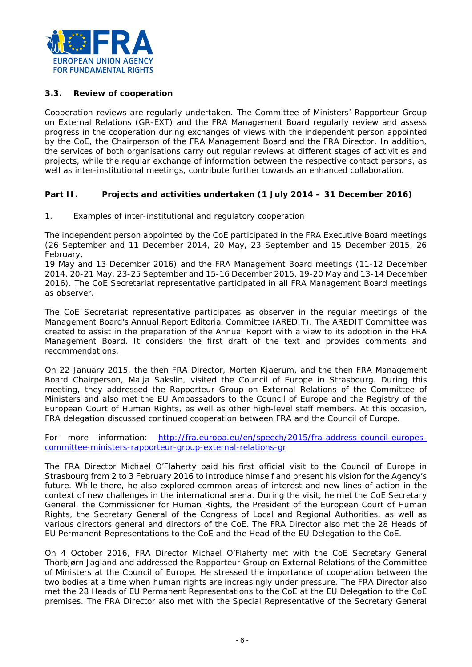

### <span id="page-5-0"></span>**3.3. Review of cooperation**

Cooperation reviews are regularly undertaken. The Committee of Ministers' Rapporteur Group on External Relations (GR-EXT) and the FRA Management Board regularly review and assess progress in the cooperation during exchanges of views with the independent person appointed by the CoE, the Chairperson of the FRA Management Board and the FRA Director. In addition, the services of both organisations carry out regular reviews at different stages of activities and projects, while the regular exchange of information between the respective contact persons, as well as inter-institutional meetings, contribute further towards an enhanced collaboration.

### <span id="page-5-1"></span>**Part II. Projects and activities undertaken (1 July 2014 – 31 December 2016)**

<span id="page-5-2"></span>1. Examples of inter-institutional and regulatory cooperation

The independent person appointed by the CoE participated in the FRA Executive Board meetings (26 September and 11 December 2014, 20 May, 23 September and 15 December 2015, 26 February,

19 May and 13 December 2016) and the FRA Management Board meetings (11-12 December 2014, 20-21 May, 23-25 September and 15-16 December 2015, 19-20 May and 13-14 December 2016). The CoE Secretariat representative participated in all FRA Management Board meetings as observer.

The CoE Secretariat representative participates as observer in the regular meetings of the Management Board's Annual Report Editorial Committee (AREDIT). The AREDIT Committee was created to assist in the preparation of the Annual Report with a view to its adoption in the FRA Management Board. It considers the first draft of the text and provides comments and recommendations.

On 22 January 2015, the then FRA Director, Morten Kjaerum, and the then FRA Management Board Chairperson, Maija Sakslin, visited the Council of Europe in Strasbourg. During this meeting, they addressed the Rapporteur Group on External Relations of the Committee of Ministers and also met the EU Ambassadors to the Council of Europe and the Registry of the European Court of Human Rights, as well as other high-level staff members. At this occasion, FRA delegation discussed continued cooperation between FRA and the Council of Europe.

*For more information*: [http://fra.europa.eu/en/speech/2015/fra-address-council-europes](http://fra.europa.eu/en/speech/2015/fra-address-council-europes-committee-ministers-rapporteur-group-external-relations-gr)[committee-ministers-rapporteur-group-external-relations-gr](http://fra.europa.eu/en/speech/2015/fra-address-council-europes-committee-ministers-rapporteur-group-external-relations-gr)

The FRA Director Michael O'Flaherty paid his first official visit to the Council of Europe in Strasbourg from 2 to 3 February 2016 to introduce himself and present his vision for the Agency's future. While there, he also explored common areas of interest and new lines of action in the context of new challenges in the international arena. During the visit, he met the CoE Secretary General, the Commissioner for Human Rights, the President of the European Court of Human Rights, the Secretary General of the Congress of Local and Regional Authorities, as well as various directors general and directors of the CoE. The FRA Director also met the 28 Heads of EU Permanent Representations to the CoE and the Head of the EU Delegation to the CoE.

On 4 October 2016, FRA Director Michael O'Flaherty met with the CoE Secretary General Thorbjørn Jagland and addressed the Rapporteur Group on External Relations of the Committee of Ministers at the Council of Europe. He stressed the importance of cooperation between the two bodies at a time when human rights are increasingly under pressure. The FRA Director also met the 28 Heads of EU Permanent Representations to the CoE at the EU Delegation to the CoE premises. The FRA Director also met with the Special Representative of the Secretary General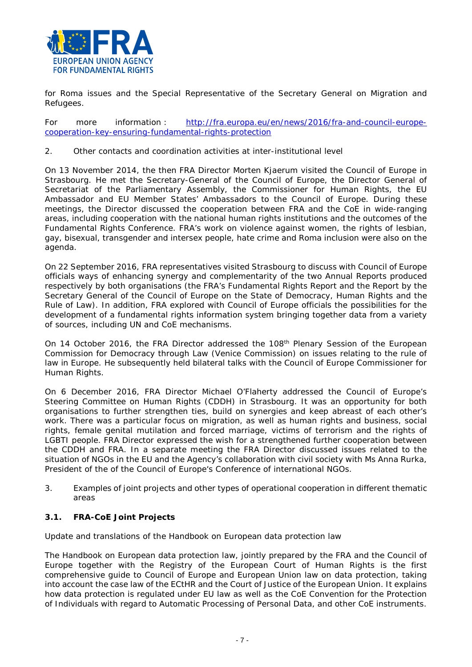

for Roma issues and the Special Representative of the Secretary General on Migration and Refugees.

*For more information :* [http://fra.europa.eu/en/news/2016/fra-and-council-europe](http://fra.europa.eu/en/news/2016/fra-and-council-europe-cooperation-key-ensuring-fundamental-rights-protection)[cooperation-key-ensuring-fundamental-rights-protection](http://fra.europa.eu/en/news/2016/fra-and-council-europe-cooperation-key-ensuring-fundamental-rights-protection)

### <span id="page-6-0"></span>2. Other contacts and coordination activities at inter-institutional level

On 13 November 2014, the then FRA Director Morten Kjaerum visited the Council of Europe in Strasbourg. He met the Secretary-General of the Council of Europe, the Director General of Secretariat of the Parliamentary Assembly, the Commissioner for Human Rights, the EU Ambassador and EU Member States' Ambassadors to the Council of Europe. During these meetings, the Director discussed the cooperation between FRA and the CoE in wide-ranging areas, including cooperation with the national human rights institutions and the outcomes of the Fundamental Rights Conference. FRA's work on violence against women, the rights of lesbian, gay, bisexual, transgender and intersex people, hate crime and Roma inclusion were also on the agenda.

On 22 September 2016, FRA representatives visited Strasbourg to discuss with Council of Europe officials ways of enhancing synergy and complementarity of the two Annual Reports produced respectively by both organisations (the FRA's *Fundamental Rights Report* and the Report by the Secretary General of the Council of Europe on the *State of Democracy, Human Rights and the Rule of Law*). In addition, FRA explored with Council of Europe officials the possibilities for the development of a fundamental rights information system bringing together data from a variety of sources, including UN and CoE mechanisms.

On 14 October 2016, the FRA Director addressed the 108<sup>th</sup> Plenary Session of the European Commission for Democracy through Law (Venice Commission) on issues relating to the rule of law in Europe. He subsequently held bilateral talks with the Council of Europe Commissioner for Human Rights.

On 6 December 2016, FRA Director Michael O'Flaherty addressed the Council of Europe's Steering Committee on Human Rights (CDDH) in Strasbourg. It was an opportunity for both organisations to further strengthen ties, build on synergies and keep abreast of each other's work. There was a particular focus on migration, as well as human rights and business, social rights, female genital mutilation and forced marriage, victims of terrorism and the rights of LGBTI people. FRA Director expressed the wish for a strengthened further cooperation between the CDDH and FRA. In a separate meeting the FRA Director discussed issues related to the situation of NGOs in the EU and the Agency's collaboration with civil society with Ms Anna Rurka, President of the of the Council of Europe's Conference of international NGOs.

<span id="page-6-1"></span>3. Examples of joint projects and other types of operational cooperation in different thematic areas

## <span id="page-6-2"></span>**3.1. FRA-CoE Joint Projects**

### *Update and translations of the Handbook on European data protection law*

The Handbook on European data protection law, jointly prepared by the FRA and the Council of Europe together with the Registry of the European Court of Human Rights is the first comprehensive guide to Council of Europe and European Union law on data protection, taking into account the case law of the ECtHR and the Court of Justice of the European Union. It explains how data protection is regulated under EU law as well as the CoE Convention for the Protection of Individuals with regard to Automatic Processing of Personal Data, and other CoE instruments.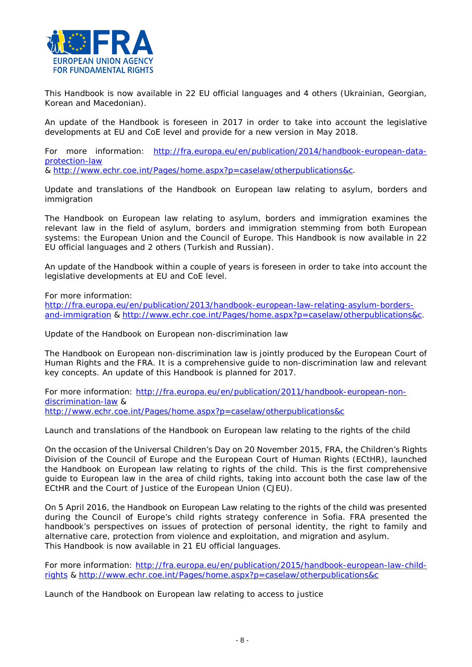

This Handbook is now available in 22 EU official languages and 4 others (Ukrainian, Georgian, Korean and Macedonian).

An update of the Handbook is foreseen in 2017 in order to take into account the legislative developments at EU and CoE level and provide for a new version in May 2018.

*For more information:* [http://fra.europa.eu/en/publication/2014/handbook-european-data](http://fra.europa.eu/en/publication/2014/handbook-european-data-protection-law)[protection-law](http://fra.europa.eu/en/publication/2014/handbook-european-data-protection-law)

& [http://www.echr.coe.int/Pages/home.aspx?p=caselaw/otherpublications&c.](http://www.echr.coe.int/Pages/home.aspx?p=caselaw/otherpublications&c)

*Update and translations of the Handbook on European law relating to asylum, borders and immigration*

The Handbook on European law relating to asylum, borders and immigration examines the relevant law in the field of asylum, borders and immigration stemming from both European systems: the European Union and the Council of Europe. This Handbook is now available in 22 EU official languages and 2 others (Turkish and Russian).

An update of the Handbook within a couple of years is foreseen in order to take into account the legislative developments at EU and CoE level.

*For more information:* 

[http://fra.europa.eu/en/publication/2013/handbook-european-law-relating-asylum-borders](http://fra.europa.eu/en/publication/2013/handbook-european-law-relating-asylum-borders-and-immigration)[and-immigration](http://fra.europa.eu/en/publication/2013/handbook-european-law-relating-asylum-borders-and-immigration) & [http://www.echr.coe.int/Pages/home.aspx?p=caselaw/otherpublications&c.](http://www.echr.coe.int/Pages/home.aspx?p=caselaw/otherpublications&c)

*Update of the Handbook on European non-discrimination law*

The Handbook on European non-discrimination law is jointly produced by the European Court of Human Rights and the FRA. It is a comprehensive guide to non-discrimination law and relevant key concepts. An update of this Handbook is planned for 2017.

*For more information:* [http://fra.europa.eu/en/publication/2011/handbook-european-non](http://fra.europa.eu/en/publication/2011/handbook-european-non-discrimination-law)[discrimination-law](http://fra.europa.eu/en/publication/2011/handbook-european-non-discrimination-law) & <http://www.echr.coe.int/Pages/home.aspx?p=caselaw/otherpublications&c>

*Launch and translations of the Handbook on European law relating to the rights of the child*

On the occasion of the Universal Children's Day on 20 November 2015, FRA, the Children's Rights Division of the Council of Europe and the European Court of Human Rights (ECtHR), launched the Handbook on European law relating to rights of the child. This is the first comprehensive guide to European law in the area of child rights, taking into account both the case law of the ECtHR and the Court of Justice of the European Union (CJEU).

On 5 April 2016, the Handbook on European Law relating to the rights of the child was presented during the Council of Europe's child rights strategy conference in Sofia. FRA presented the handbook's perspectives on issues of protection of personal identity, the right to family and alternative care, protection from violence and exploitation, and migration and asylum. This Handbook is now available in 21 EU official languages.

*For more information:* [http://fra.europa.eu/en/publication/2015/handbook-european-law-child](http://fra.europa.eu/en/publication/2015/handbook-european-law-child-rights)[rights](http://fra.europa.eu/en/publication/2015/handbook-european-law-child-rights) &<http://www.echr.coe.int/Pages/home.aspx?p=caselaw/otherpublications&c>

*Launch of the Handbook on European law relating to access to justice*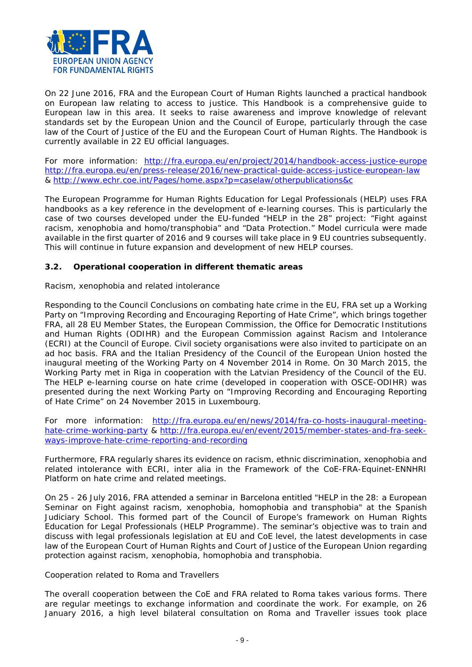

On 22 June 2016, FRA and the European Court of Human Rights launched a practical handbook on European law relating to access to justice. This Handbook is a comprehensive guide to European law in this area. It seeks to raise awareness and improve knowledge of relevant standards set by the European Union and the Council of Europe, particularly through the case law of the Court of Justice of the EU and the European Court of Human Rights. The Handbook is currently available in 22 EU official languages.

*For more information:* <http://fra.europa.eu/en/project/2014/handbook-access-justice-europe> <http://fra.europa.eu/en/press-release/2016/new-practical-guide-access-justice-european-law> &<http://www.echr.coe.int/Pages/home.aspx?p=caselaw/otherpublications&c>

The European Programme for Human Rights Education for Legal Professionals (HELP) uses FRA handbooks as a key reference in the development of e-learning courses. This is particularly the case of two courses developed under the EU-funded "HELP in the 28" project: "Fight against racism, xenophobia and homo/transphobia" and "Data Protection." Model curricula were made available in the first quarter of 2016 and 9 courses will take place in 9 EU countries subsequently. This will continue in future expansion and development of new HELP courses.

## <span id="page-8-0"></span>**3.2. Operational cooperation in different thematic areas**

### <span id="page-8-1"></span>*Racism, xenophobia and related intolerance*

Responding to the Council Conclusions on combating hate crime in the EU, FRA set up a Working Party on "Improving Recording and Encouraging Reporting of Hate Crime", which brings together FRA, all 28 EU Member States, the European Commission, the Office for Democratic Institutions and Human Rights (ODIHR) and the European Commission against Racism and Intolerance (ECRI) at the Council of Europe. Civil society organisations were also invited to participate on an ad hoc basis. FRA and the Italian Presidency of the Council of the European Union hosted the inaugural meeting of the Working Party on 4 November 2014 in Rome. On 30 March 2015, the Working Party met in Riga in cooperation with the Latvian Presidency of the Council of the EU. The HELP e-learning course on hate crime (developed in cooperation with OSCE-ODIHR) was presented during the next Working Party on "Improving Recording and Encouraging Reporting of Hate Crime" on 24 November 2015 in Luxembourg.

*For more information:* [http://fra.europa.eu/en/news/2014/fra-co-hosts-inaugural-meeting](http://fra.europa.eu/en/news/2014/fra-co-hosts-inaugural-meeting-hate-crime-working-party)[hate-crime-working-party](http://fra.europa.eu/en/news/2014/fra-co-hosts-inaugural-meeting-hate-crime-working-party) & [http://fra.europa.eu/en/event/2015/member-states-and-fra-seek](http://fra.europa.eu/en/event/2015/member-states-and-fra-seek-ways-improve-hate-crime-reporting-and-recording)[ways-improve-hate-crime-reporting-and-recording](http://fra.europa.eu/en/event/2015/member-states-and-fra-seek-ways-improve-hate-crime-reporting-and-recording)

Furthermore, FRA regularly shares its evidence on racism, ethnic discrimination, xenophobia and related intolerance with ECRI, inter alia in the Framework of the CoE-FRA-Equinet-ENNHRI Platform on hate crime and related meetings.

On 25 - 26 July 2016, FRA attended a seminar in Barcelona entitled "HELP in the 28: a European Seminar on Fight against racism, xenophobia, homophobia and transphobia" at the Spanish Judiciary School. This formed part of the Council of Europe's framework on Human Rights Education for Legal Professionals (HELP Programme). The seminar's objective was to train and discuss with legal professionals legislation at EU and CoE level, the latest developments in case law of the European Court of Human Rights and Court of Justice of the European Union regarding protection against racism, xenophobia, homophobia and transphobia.

### <span id="page-8-2"></span>*Cooperation related to Roma and Travellers*

The overall cooperation between the CoE and FRA related to Roma takes various forms. There are regular meetings to exchange information and coordinate the work. For example, on 26 January 2016, a high level bilateral consultation on Roma and Traveller issues took place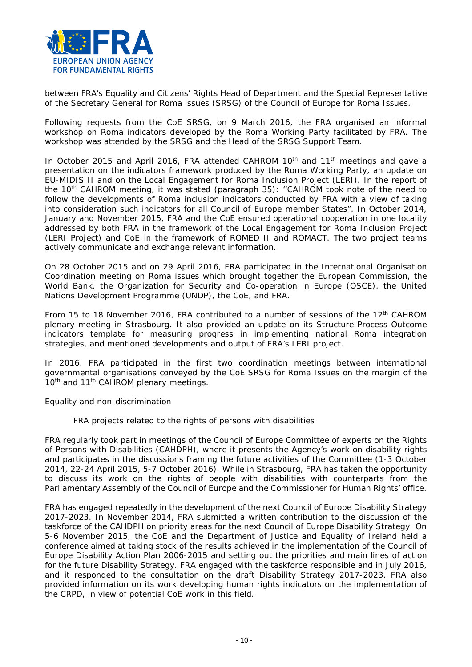

between FRA's Equality and Citizens' Rights Head of Department and the Special Representative of the Secretary General for Roma issues (SRSG) of the Council of Europe for Roma Issues.

Following requests from the CoE SRSG, on 9 March 2016, the FRA organised an informal workshop on Roma indicators developed by the Roma Working Party facilitated by FRA. The workshop was attended by the SRSG and the Head of the SRSG Support Team.

In October 2015 and April 2016, FRA attended CAHROM 10<sup>th</sup> and 11<sup>th</sup> meetings and gave a presentation on the indicators framework produced by the Roma Working Party, an update on EU-MIDIS II and on the Local Engagement for Roma Inclusion Project (LERI). In the report of the 10th CAHROM meeting, it was stated (paragraph 35): ''*CAHROM took note of the need to*  follow the developments of Roma inclusion indicators conducted by FRA with a view of taking *into consideration such indicators for all Council of Europe member States".* In October 2014, January and November 2015, FRA and the CoE ensured operational cooperation in one locality addressed by both FRA in the framework of the Local Engagement for Roma Inclusion Project (LERI Project) and CoE in the framework of ROMED II and ROMACT. The two project teams actively communicate and exchange relevant information.

On 28 October 2015 and on 29 April 2016, FRA participated in the International Organisation Coordination meeting on Roma issues which brought together the European Commission, the World Bank, the Organization for Security and Co-operation in Europe (OSCE), the United Nations Development Programme (UNDP), the CoE, and FRA.

From 15 to 18 November 2016, FRA contributed to a number of sessions of the 12<sup>th</sup> CAHROM plenary meeting in Strasbourg. It also provided an update on its Structure-Process-Outcome indicators template for measuring progress in implementing national Roma integration strategies, and mentioned developments and output of FRA's LERI project.

In 2016, FRA participated in the first two coordination meetings between international governmental organisations conveyed by the CoE SRSG for Roma Issues on the margin of the 10<sup>th</sup> and 11<sup>th</sup> CAHROM plenary meetings.

### <span id="page-9-0"></span>*Equality and non-discrimination*

### *FRA projects related to the rights of persons with disabilities*

FRA regularly took part in meetings of the Council of Europe Committee of experts on the Rights of Persons with Disabilities (CAHDPH), where it presents the Agency's work on disability rights and participates in the discussions framing the future activities of the Committee (1-3 October 2014, 22-24 April 2015, 5-7 October 2016). While in Strasbourg, FRA has taken the opportunity to discuss its work on the rights of people with disabilities with counterparts from the Parliamentary Assembly of the Council of Europe and the Commissioner for Human Rights' office.

FRA has engaged repeatedly in the development of the next Council of Europe Disability Strategy 2017-2023. In November 2014, FRA submitted a written contribution to the discussion of the taskforce of the CAHDPH on priority areas for the next Council of Europe Disability Strategy. On 5-6 November 2015, the CoE and the Department of Justice and Equality of Ireland held a conference aimed at taking stock of the results achieved in the implementation of the Council of Europe Disability Action Plan 2006-2015 and setting out the priorities and main lines of action for the future Disability Strategy. FRA engaged with the taskforce responsible and in July 2016, and it responded to the consultation on the draft Disability Strategy 2017-2023. FRA also provided information on its work developing human rights indicators on the implementation of the CRPD, in view of potential CoE work in this field.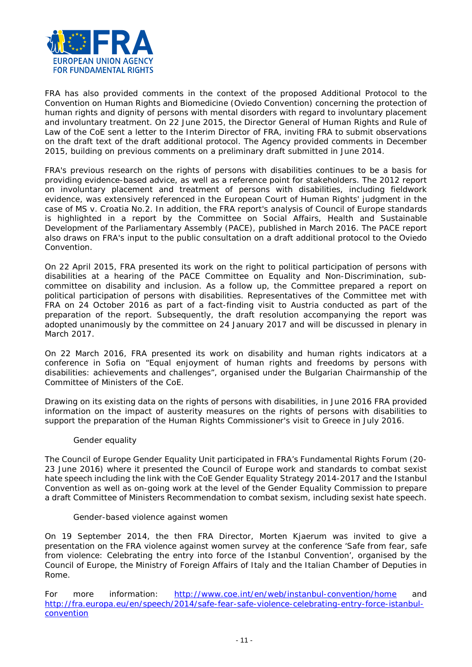

FRA has also provided comments in the context of the proposed *Additional Protocol to the Convention on Human Rights and Biomedicine (Oviedo Convention) concerning the protection of human rights and dignity of persons with mental disorders with regard to involuntary placement and involuntary treatment.* On 22 June 2015, the Director General of Human Rights and Rule of Law of the CoE sent a letter to the Interim Director of FRA, inviting FRA to submit observations on the draft text of the draft additional protocol. The Agency provided comments in December 2015, building on previous comments on a preliminary draft submitted in June 2014.

FRA's previous research on the rights of persons with disabilities continues to be a basis for providing evidence-based advice, as well as a reference point for stakeholders. The 2012 report on involuntary placement and treatment of persons with disabilities, including fieldwork evidence, was extensively referenced in the European Court of Human Rights' judgment in the case of *MS v. Croatia No.2*. In addition, the FRA report's analysis of Council of Europe standards is highlighted in a report by the Committee on Social Affairs, Health and Sustainable Development of the Parliamentary Assembly (PACE), published in March 2016. The PACE report also draws on FRA's input to the public consultation on a draft additional protocol to the Oviedo Convention.

On 22 April 2015, FRA presented its work on the right to political participation of persons with disabilities at a hearing of the PACE Committee on Equality and Non-Discrimination, subcommittee on disability and inclusion. As a follow up, the Committee prepared a report on political participation of persons with disabilities. Representatives of the Committee met with FRA on 24 October 2016 as part of a fact-finding visit to Austria conducted as part of the preparation of the report. Subsequently, the draft resolution accompanying the report was adopted unanimously by the committee on 24 January 2017 and will be discussed in plenary in March 2017.

On 22 March 2016, FRA presented its work on disability and human rights indicators at a conference in Sofia on "Equal enjoyment of human rights and freedoms by persons with disabilities: achievements and challenges", organised under the Bulgarian Chairmanship of the Committee of Ministers of the CoE.

Drawing on its existing data on the rights of persons with disabilities, in June 2016 FRA provided information on the impact of austerity measures on the rights of persons with disabilities to support the preparation of the Human Rights Commissioner's visit to Greece in July 2016.

### *Gender equality*

The Council of Europe Gender Equality Unit participated in FRA's Fundamental Rights Forum (20- 23 June 2016) where it presented the Council of Europe work and standards to combat sexist hate speech including the link with the CoE Gender Equality Strategy 2014-2017 and the Istanbul Convention as well as on-going work at the level of the Gender Equality Commission to prepare a draft Committee of Ministers Recommendation to combat sexism, including sexist hate speech.

### *Gender-based violence against women*

On 19 September 2014, the then FRA Director, Morten Kjaerum was invited to give a presentation on the FRA violence against women survey at the conference 'Safe from fear, safe from violence: Celebrating the entry into force of the Istanbul Convention', organised by the Council of Europe, the Ministry of Foreign Affairs of Italy and the Italian Chamber of Deputies in Rome.

*For more information*: <http://www.coe.int/en/web/instanbul-convention/home> and [http://fra.europa.eu/en/speech/2014/safe-fear-safe-violence-celebrating-entry-force-istanbul](http://fra.europa.eu/en/speech/2014/safe-fear-safe-violence-celebrating-entry-force-istanbul-convention)[convention](http://fra.europa.eu/en/speech/2014/safe-fear-safe-violence-celebrating-entry-force-istanbul-convention)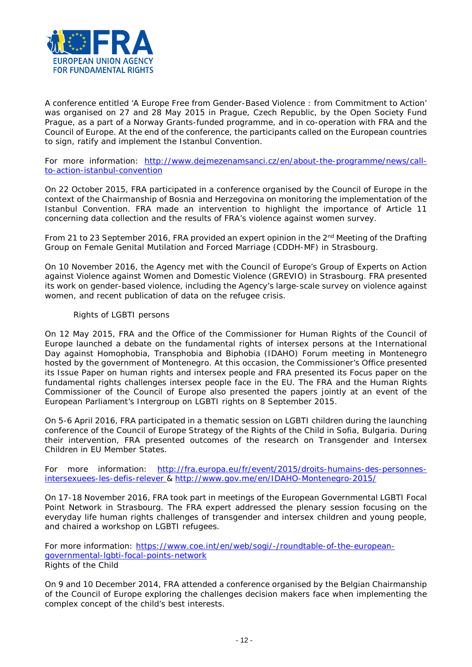

A conference entitled 'A Europe Free from Gender-Based Violence : from Commitment to Action' was organised on 27 and 28 May 2015 in Prague, Czech Republic, by the Open Society Fund Prague, as a part of a Norway Grants-funded programme, and in co-operation with FRA and the Council of Europe. At the end of the conference, the participants called on the European countries to sign, ratify and implement the Istanbul Convention.

*For more information:* [http://www.dejmezenamsanci.cz/en/about-the-programme/news/call](http://www.dejmezenamsanci.cz/en/about-the-programme/news/call-to-action-istanbul-convention)[to-action-istanbul-convention](http://www.dejmezenamsanci.cz/en/about-the-programme/news/call-to-action-istanbul-convention)

On 22 October 2015, FRA participated in a conference organised by the Council of Europe in the context of the Chairmanship of Bosnia and Herzegovina on monitoring the implementation of the Istanbul Convention. FRA made an intervention to highlight the importance of Article 11 concerning data collection and the results of FRA's violence against women survey.

From 21 to 23 September 2016, FRA provided an expert opinion in the 2<sup>nd</sup> Meeting of the Drafting Group on Female Genital Mutilation and Forced Marriage (CDDH-MF) in Strasbourg.

On 10 November 2016, the Agency met with the Council of Europe's Group of Experts on Action against Violence against Women and Domestic Violence (GREVIO) in Strasbourg. FRA presented its work on gender-based violence, including the Agency's large-scale survey on violence against women, and recent publication of data on the refugee crisis.

### *Rights of LGBTI persons*

On 12 May 2015, FRA and the Office of the Commissioner for Human Rights of the Council of Europe launched a debate on the fundamental rights of intersex persons at the International Day against Homophobia, Transphobia and Biphobia (IDAHO) Forum meeting in Montenegro hosted by the government of Montenegro. At this occasion, the Commissioner's Office presented its Issue Paper on human rights and intersex people and FRA presented its Focus paper on the fundamental rights challenges intersex people face in the EU. The FRA and the Human Rights Commissioner of the Council of Europe also presented the papers jointly at an event of the European Parliament's Intergroup on LGBTI rights on 8 September 2015.

On 5-6 April 2016, FRA participated in a thematic session on LGBTI children during the launching conference of the Council of Europe Strategy of the Rights of the Child in Sofia, Bulgaria. During their intervention, FRA presented outcomes of the research on Transgender and Intersex Children in EU Member States.

*For more information:* [http://fra.europa.eu/fr/event/2015/droits-humains-des-personnes](http://fra.europa.eu/fr/event/2015/droits-humains-des-personnes-intersexuees-les-defis-relever)[intersexuees-les-defis-relever](http://fra.europa.eu/fr/event/2015/droits-humains-des-personnes-intersexuees-les-defis-relever) &<http://www.gov.me/en/IDAHO-Montenegro-2015/>

On 17-18 November 2016, FRA took part in meetings of the European Governmental LGBTI Focal Point Network in Strasbourg. The FRA expert addressed the plenary session focusing on the everyday life human rights challenges of transgender and intersex children and young people, and chaired a workshop on LGBTI refugees.

<span id="page-11-0"></span>*For more information*: [https://www.coe.int/en/web/sogi/-/roundtable-of-the-european](https://www.coe.int/en/web/sogi/-/roundtable-of-the-european-governmental-lgbti-focal-points-network)[governmental-lgbti-focal-points-network](https://www.coe.int/en/web/sogi/-/roundtable-of-the-european-governmental-lgbti-focal-points-network) *Rights of the Child* 

On 9 and 10 December 2014, FRA attended a conference organised by the Belgian Chairmanship of the Council of Europe exploring the challenges decision makers face when implementing the complex concept of the child's best interests.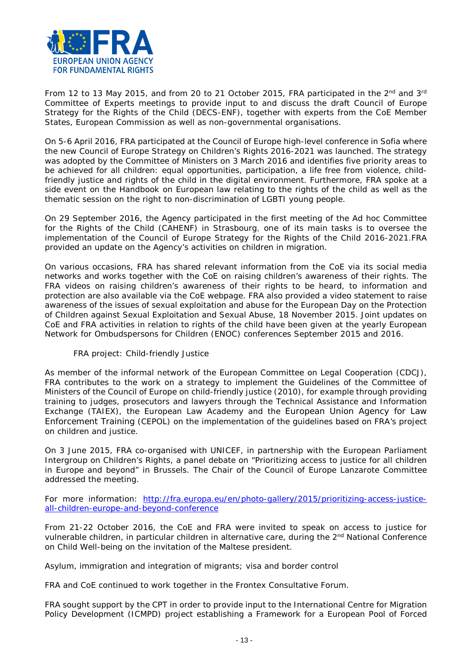

From 12 to 13 May 2015, and from 20 to 21 October 2015, FRA participated in the 2<sup>nd</sup> and 3<sup>rd</sup> Committee of Experts meetings to provide input to and discuss the draft Council of Europe Strategy for the Rights of the Child (DECS-ENF), together with experts from the CoE Member States, European Commission as well as non-governmental organisations.

On 5-6 April 2016, FRA participated at the Council of Europe high-level conference in Sofia where the new Council of Europe Strategy on Children's Rights 2016-2021 was launched. The strategy was adopted by the Committee of Ministers on 3 March 2016 and identifies five priority areas to be achieved for all children: equal opportunities, participation, a life free from violence, childfriendly justice and rights of the child in the digital environment. Furthermore, FRA spoke at a side event on the Handbook on European law relating to the rights of the child as well as the thematic session on the right to non-discrimination of LGBTI young people.

On 29 September 2016, the Agency participated in the first meeting of the Ad hoc Committee for the Rights of the Child (CAHENF) in Strasbourg, one of its main tasks is to oversee the implementation of the Council of Europe Strategy for the Rights of the Child 2016-2021.FRA provided an update on the Agency's activities on children in migration.

On various occasions, FRA has shared relevant information from the CoE via its social media networks and works together with the CoE on raising children's awareness of their rights. The FRA videos on raising children's awareness of their rights to be heard, to information and protection are also available via the CoE webpage. FRA also provided a video statement to raise awareness of the issues of sexual exploitation and abuse for the European Day on the Protection of Children against Sexual Exploitation and Sexual Abuse, 18 November 2015. Joint updates on CoE and FRA activities in relation to rights of the child have been given at the yearly European Network for Ombudspersons for Children (ENOC) conferences September 2015 and 2016.

## *FRA project: Child-friendly Justice*

As member of the informal network of the European Committee on Legal Cooperation (CDCJ), FRA contributes to the work on a strategy to implement the Guidelines of the Committee of Ministers of the Council of Europe on child-friendly justice (2010), for example through providing training to judges, prosecutors and lawyers through the Technical Assistance and Information Exchange (TAIEX), the European Law Academy and the European Union Agency for Law Enforcement Training (CEPOL) on the implementation of the guidelines based on FRA's project on children and justice.

On 3 June 2015, FRA co-organised with UNICEF, in partnership with the European Parliament Intergroup on Children's Rights, a panel debate on "Prioritizing access to justice for all children in Europe and beyond" in Brussels. The Chair of the Council of Europe Lanzarote Committee addressed the meeting.

*For more information:* [http://fra.europa.eu/en/photo-gallery/2015/prioritizing-access-justice](http://fra.europa.eu/en/photo-gallery/2015/prioritizing-access-justice-all-children-europe-and-beyond-conference)[all-children-europe-and-beyond-conference](http://fra.europa.eu/en/photo-gallery/2015/prioritizing-access-justice-all-children-europe-and-beyond-conference)

From 21-22 October 2016, the CoE and FRA were invited to speak on access to justice for vulnerable children, in particular children in alternative care, during the 2nd National Conference on Child Well-being on the invitation of the Maltese president.

<span id="page-12-0"></span>*Asylum, immigration and integration of migrants; visa and border control*

FRA and CoE continued to work together in the Frontex Consultative Forum.

FRA sought support by the CPT in order to provide input to the International Centre for Migration Policy Development (ICMPD) project establishing a Framework for a European Pool of Forced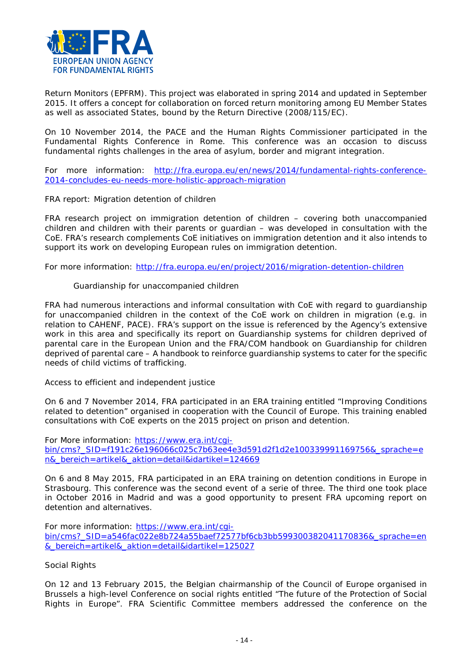

Return Monitors (EPFRM). This project was elaborated in spring 2014 and updated in September 2015. It offers a concept for collaboration on forced return monitoring among EU Member States as well as associated States, bound by the Return Directive (2008/115/EC).

On 10 November 2014, the PACE and the Human Rights Commissioner participated in the Fundamental Rights Conference in Rome. This conference was an occasion to discuss fundamental rights challenges in the area of asylum, border and migrant integration.

*For more information:* [http://fra.europa.eu/en/news/2014/fundamental-rights-conference-](http://fra.europa.eu/en/news/2014/fundamental-rights-conference-2014-concludes-eu-needs-more-holistic-approach-migration)[2014-concludes-eu-needs-more-holistic-approach-migration](http://fra.europa.eu/en/news/2014/fundamental-rights-conference-2014-concludes-eu-needs-more-holistic-approach-migration)

### *FRA report: Migration detention of children*

FRA research project on immigration detention of children – covering both unaccompanied children and children with their parents or guardian – was developed in consultation with the CoE. FRA's research complements CoE initiatives on immigration detention and it also intends to support its work on developing European rules on immigration detention.

*For more information:* <http://fra.europa.eu/en/project/2016/migration-detention-children>

#### *Guardianship for unaccompanied children*

FRA had numerous interactions and informal consultation with CoE with regard to guardianship for unaccompanied children in the context of the CoE work on children in migration (e.g. in relation to CAHENF, PACE). FRA's support on the issue is referenced by the Agency's extensive work in this area and specifically its report on Guardianship systems for children deprived of parental care in the European Union and the FRA/COM handbook on Guardianship for children deprived of parental care – A handbook to reinforce guardianship systems to cater for the specific needs of child victims of trafficking.

#### <span id="page-13-0"></span>*Access to efficient and independent justice*

On 6 and 7 November 2014, FRA participated in an ERA training entitled "Improving Conditions related to detention" organised in cooperation with the Council of Europe. This training enabled consultations with CoE experts on the 2015 project on prison and detention.

*For More information:* [https://www.era.int/cgi](https://www.era.int/cgi-bin/cms?_SID=f191c26e196066c025c7b63ee4e3d591d2f1d2e100339991169756&_sprache=en&_bereich=artikel&_aktion=detail&idartikel=124669)[bin/cms?\\_SID=f191c26e196066c025c7b63ee4e3d591d2f1d2e100339991169756&\\_sprache=e](https://www.era.int/cgi-bin/cms?_SID=f191c26e196066c025c7b63ee4e3d591d2f1d2e100339991169756&_sprache=en&_bereich=artikel&_aktion=detail&idartikel=124669) [n&\\_bereich=artikel&\\_aktion=detail&idartikel=124669](https://www.era.int/cgi-bin/cms?_SID=f191c26e196066c025c7b63ee4e3d591d2f1d2e100339991169756&_sprache=en&_bereich=artikel&_aktion=detail&idartikel=124669)

On 6 and 8 May 2015, FRA participated in an ERA training on detention conditions in Europe in Strasbourg. This conference was the second event of a serie of three. The third one took place in October 2016 in Madrid and was a good opportunity to present FRA upcoming report on detention and alternatives.

*For more information:* [https://www.era.int/cgi](https://www.era.int/cgi-bin/cms?_SID=a546fac022e8b724a55baef72577bf6cb3bb599300382041170836&_sprache=en&_bereich=artikel&_aktion=detail&idartikel=125027)[bin/cms?\\_SID=a546fac022e8b724a55baef72577bf6cb3bb599300382041170836&\\_sprache=en](https://www.era.int/cgi-bin/cms?_SID=a546fac022e8b724a55baef72577bf6cb3bb599300382041170836&_sprache=en&_bereich=artikel&_aktion=detail&idartikel=125027) [&\\_bereich=artikel&\\_aktion=detail&idartikel=125027](https://www.era.int/cgi-bin/cms?_SID=a546fac022e8b724a55baef72577bf6cb3bb599300382041170836&_sprache=en&_bereich=artikel&_aktion=detail&idartikel=125027)

#### <span id="page-13-1"></span>*Social Rights*

On 12 and 13 February 2015, the Belgian chairmanship of the Council of Europe organised in Brussels a high-level Conference on social rights entitled "The future of the Protection of Social Rights in Europe". FRA Scientific Committee members addressed the conference on the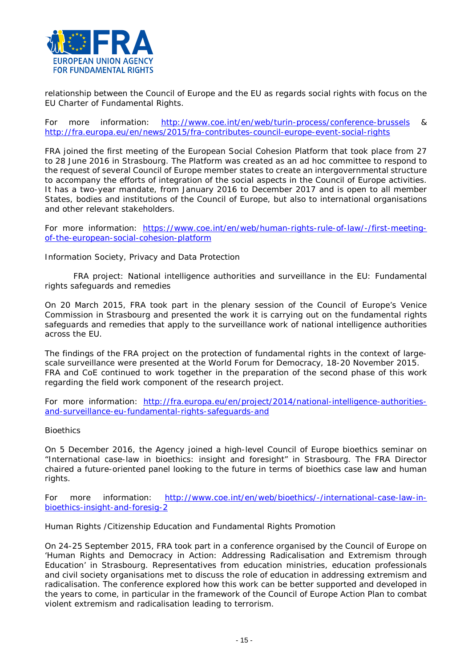

relationship between the Council of Europe and the EU as regards social rights with focus on the EU Charter of Fundamental Rights.

*For more information*: <http://www.coe.int/en/web/turin-process/conference-brussels> & <http://fra.europa.eu/en/news/2015/fra-contributes-council-europe-event-social-rights>

FRA joined the first meeting of the European Social Cohesion Platform that took place from 27 to 28 June 2016 in Strasbourg. The Platform was created as an ad hoc committee to respond to the request of several Council of Europe member states to create an intergovernmental structure to accompany the efforts of integration of the social aspects in the Council of Europe activities. It has a two-year mandate, from January 2016 to December 2017 and is open to all member States, bodies and institutions of the Council of Europe, but also to international organisations and other relevant stakeholders.

*For more information*: [https://www.coe.int/en/web/human-rights-rule-of-law/-/first-meeting](https://www.coe.int/en/web/human-rights-rule-of-law/-/first-meeting-of-the-european-social-cohesion-platform)[of-the-european-social-cohesion-platform](https://www.coe.int/en/web/human-rights-rule-of-law/-/first-meeting-of-the-european-social-cohesion-platform)

<span id="page-14-0"></span>*Information Society, Privacy and Data Protection*

*FRA project: National intelligence authorities and surveillance in the EU: Fundamental rights safeguards and remedies*

On 20 March 2015, FRA took part in the plenary session of the Council of Europe's Venice Commission in Strasbourg and presented the work it is carrying out on the fundamental rights safeguards and remedies that apply to the surveillance work of national intelligence authorities across the EU.

The findings of the FRA project on the protection of fundamental rights in the context of largescale surveillance were presented at the World Forum for Democracy, 18-20 November 2015. FRA and CoE continued to work together in the preparation of the second phase of this work regarding the field work component of the research project.

*For more information:* [http://fra.europa.eu/en/project/2014/national-intelligence-authorities](http://fra.europa.eu/en/project/2014/national-intelligence-authorities-and-surveillance-eu-fundamental-rights-safeguards-and)[and-surveillance-eu-fundamental-rights-safeguards-and](http://fra.europa.eu/en/project/2014/national-intelligence-authorities-and-surveillance-eu-fundamental-rights-safeguards-and)

### <span id="page-14-1"></span>*Bioethics*

On 5 December 2016, the Agency joined a high-level Council of Europe bioethics seminar on "International case-law in bioethics: insight and foresight" in Strasbourg. The FRA Director chaired a future-oriented panel looking to the future in terms of bioethics case law and human rights.

*For more information*: [http://www.coe.int/en/web/bioethics/-/international-case-law-in](http://www.coe.int/en/web/bioethics/-/international-case-law-in-bioethics-insight-and-foresig-2)[bioethics-insight-and-foresig-2](http://www.coe.int/en/web/bioethics/-/international-case-law-in-bioethics-insight-and-foresig-2)

### <span id="page-14-2"></span>*Human Rights /Citizenship Education and Fundamental Rights Promotion*

On 24-25 September 2015, FRA took part in a conference organised by the Council of Europe on 'Human Rights and Democracy in Action: Addressing Radicalisation and Extremism through Education' in Strasbourg. Representatives from education ministries, education professionals and civil society organisations met to discuss the role of education in addressing extremism and radicalisation. The conference explored how this work can be better supported and developed in the years to come, in particular in the framework of the Council of Europe Action Plan to combat violent extremism and radicalisation leading to terrorism.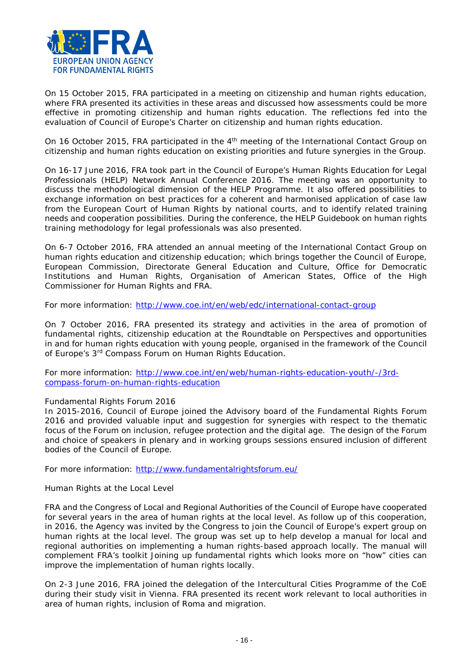

On 15 October 2015, FRA participated in a meeting on citizenship and human rights education, where FRA presented its activities in these areas and discussed how assessments could be more effective in promoting citizenship and human rights education. The reflections fed into the evaluation of Council of Europe's Charter on citizenship and human rights education.

On 16 October 2015, FRA participated in the 4<sup>th</sup> meeting of the International Contact Group on citizenship and human rights education on existing priorities and future synergies in the Group.

On 16-17 June 2016, FRA took part in the Council of Europe's Human Rights Education for Legal Professionals (HELP) Network Annual Conference 2016. The meeting was an opportunity to discuss the methodological dimension of the HELP Programme. It also offered possibilities to exchange information on best practices for a coherent and harmonised application of case law from the European Court of Human Rights by national courts, and to identify related training needs and cooperation possibilities. During the conference, the HELP Guidebook on human rights training methodology for legal professionals was also presented.

On 6-7 October 2016, FRA attended an annual meeting of the International Contact Group on human rights education and citizenship education; which brings together the Council of Europe, European Commission, Directorate General Education and Culture, Office for Democratic Institutions and Human Rights, Organisation of American States, Office of the High Commissioner for Human Rights and FRA.

*For more information*:<http://www.coe.int/en/web/edc/international-contact-group>

On 7 October 2016, FRA presented its strategy and activities in the area of promotion of fundamental rights, citizenship education at the Roundtable on Perspectives and opportunities in and for human rights education with young people, organised in the framework of the Council of Europe's 3<sup>rd</sup> Compass Forum on Human Rights Education.

*For more information*: [http://www.coe.int/en/web/human-rights-education-youth/-/3rd](http://www.coe.int/en/web/human-rights-education-youth/-/3rd-compass-forum-on-human-rights-education)[compass-forum-on-human-rights-education](http://www.coe.int/en/web/human-rights-education-youth/-/3rd-compass-forum-on-human-rights-education)

### *Fundamental Rights Forum 2016*

In 2015-2016, Council of Europe joined the Advisory board of the Fundamental Rights Forum 2016 and provided valuable input and suggestion for synergies with respect to the thematic focus of the Forum on inclusion, refugee protection and the digital age. The design of the Forum and choice of speakers in plenary and in working groups sessions ensured inclusion of different bodies of the Council of Europe.

*For more information:* <http://www.fundamentalrightsforum.eu/>

### <span id="page-15-0"></span>*Human Rights at the Local Level*

FRA and the Congress of Local and Regional Authorities of the Council of Europe have cooperated for several years in the area of human rights at the local level. As follow up of this cooperation, in 2016, the Agency was invited by the Congress to join the Council of Europe's expert group on human rights at the local level. The group was set up to help develop a manual for local and regional authorities on implementing a human rights-based approach locally. The manual will complement FRA's toolkit Joining up fundamental rights which looks more on "how" cities can improve the implementation of human rights locally.

On 2-3 June 2016, FRA joined the delegation of the Intercultural Cities Programme of the CoE during their study visit in Vienna. FRA presented its recent work relevant to local authorities in area of human rights, inclusion of Roma and migration.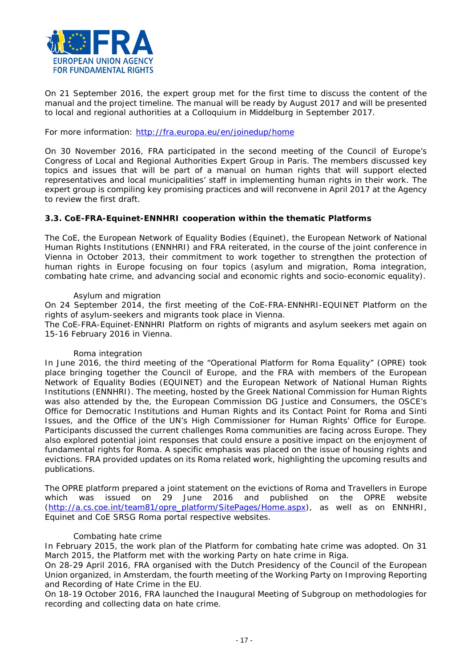

On 21 September 2016, the expert group met for the first time to discuss the content of the manual and the project timeline. The manual will be ready by August 2017 and will be presented to local and regional authorities at a Colloquium in Middelburg in September 2017.

### *For more information*:<http://fra.europa.eu/en/joinedup/home>

On 30 November 2016, FRA participated in the second meeting of the Council of Europe's Congress of Local and Regional Authorities Expert Group in Paris. The members discussed key topics and issues that will be part of a manual on human rights that will support elected representatives and local municipalities' staff in implementing human rights in their work. The expert group is compiling key promising practices and will reconvene in April 2017 at the Agency to review the first draft.

### <span id="page-16-0"></span>**3.3. CoE-FRA-Equinet-ENNHRI cooperation within the thematic Platforms**

The CoE, the European Network of Equality Bodies (Equinet), the European Network of National Human Rights Institutions (ENNHRI) and FRA reiterated, in the course of the joint conference in Vienna in October 2013, their commitment to work together to strengthen the protection of human rights in Europe focusing on four topics (asylum and migration, Roma integration, combating hate crime, and advancing social and economic rights and socio-economic equality).

#### *Asylum and migration*

On 24 September 2014, the first meeting of the CoE-FRA-ENNHRI-EQUINET Platform on the rights of asylum-seekers and migrants took place in Vienna.

The CoE-FRA-Equinet-ENNHRI Platform on rights of migrants and asylum seekers met again on 15-16 February 2016 in Vienna.

#### *Roma integration*

In June 2016, the third meeting of the "Operational Platform for Roma Equality" (OPRE) took place bringing together the Council of Europe, and the FRA with members of the European Network of Equality Bodies (EQUINET) and the European Network of National Human Rights Institutions (ENNHRI). The meeting, hosted by the Greek National Commission for Human Rights was also attended by the, the European Commission DG Justice and Consumers, the OSCE's Office for Democratic Institutions and Human Rights and its Contact Point for Roma and Sinti Issues, and the Office of the UN's High Commissioner for Human Rights' Office for Europe. Participants discussed the current challenges Roma communities are facing across Europe. They also explored potential joint responses that could ensure a positive impact on the enjoyment of fundamental rights for Roma. A specific emphasis was placed on the issue of housing rights and evictions. FRA provided updates on its Roma related work, highlighting the upcoming results and publications.

The OPRE platform prepared a joint statement on the evictions of Roma and Travellers in Europe which was issued on 29 June 2016 and published on the OPRE website [\(http://a.cs.coe.int/team81/opre\\_platform/SitePages/Home.aspx\)](http://a.cs.coe.int/team81/opre_platform/SitePages/Home.aspx), as well as on ENNHRI, Equinet and CoE SRSG Roma portal respective websites.

#### *Combating hate crime*

In February 2015, the work plan of the Platform for combating hate crime was adopted. On 31 March 2015, the Platform met with the working Party on hate crime in Riga.

On 28-29 April 2016, FRA organised with the Dutch Presidency of the Council of the European Union organized, in Amsterdam, the fourth meeting of the Working Party on Improving Reporting and Recording of Hate Crime in the EU.

On 18-19 October 2016, FRA launched the Inaugural Meeting of Subgroup on methodologies for recording and collecting data on hate crime.